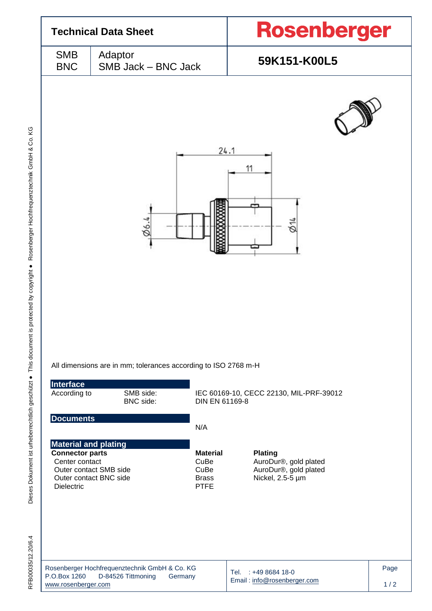|                                                                                              | <b>Technical Data Sheet</b>                                                                                        | <b>Rosenberger</b>                                                                   |  |  |  |
|----------------------------------------------------------------------------------------------|--------------------------------------------------------------------------------------------------------------------|--------------------------------------------------------------------------------------|--|--|--|
| <b>SMB</b><br><b>BNC</b>                                                                     | Adaptor<br>SMB Jack - BNC Jack                                                                                     | 59K151-K00L5                                                                         |  |  |  |
|                                                                                              |                                                                                                                    | 24.1                                                                                 |  |  |  |
|                                                                                              | 06.4                                                                                                               | 11<br>φ14                                                                            |  |  |  |
|                                                                                              |                                                                                                                    |                                                                                      |  |  |  |
| Interface                                                                                    | All dimensions are in mm; tolerances according to ISO 2768 m-H                                                     |                                                                                      |  |  |  |
| According to                                                                                 | SMB side:<br>BNC side:                                                                                             | IEC 60169-10, CECC 22130, MIL-PRF-39012<br>DIN EN 61169-8                            |  |  |  |
| <b>Documents</b>                                                                             | N/A                                                                                                                |                                                                                      |  |  |  |
| <b>Material and plating</b><br><b>Connector parts</b><br>Center contact<br><b>Dielectric</b> | <b>Material</b><br>CuBe<br>CuBe<br>Outer contact SMB side<br>Outer contact BNC side<br><b>Brass</b><br><b>PTFE</b> | <b>Plating</b><br>AuroDur®, gold plated<br>AuroDur®, gold plated<br>Nickel, 2.5-5 µm |  |  |  |
| P.O.Box 1260                                                                                 | Rosenberger Hochfrequenztechnik GmbH & Co. KG<br>D-84526 Tittmoning<br>Germany                                     | Page<br>$: +49868418-0$<br>Tel.<br>Email: info@rosenberger.com                       |  |  |  |